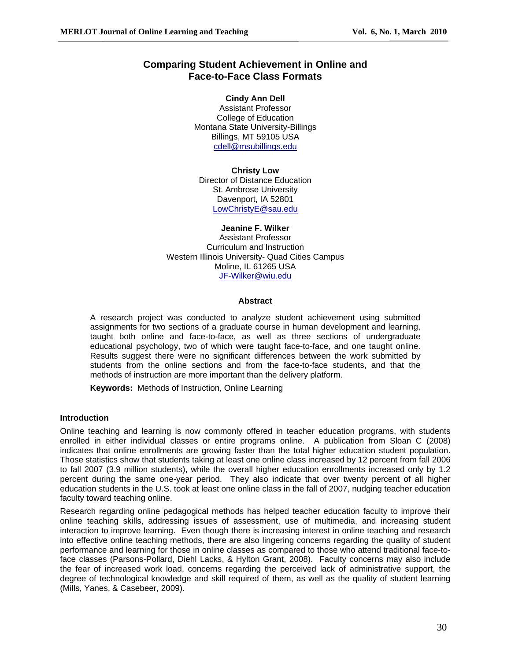# **Comparing Student Achievement in Online and Face-to-Face Class Formats**

**Cindy Ann Dell** Assistant Professor College of Education Montana State University-Billings Billings, MT 59105 USA cdell@msubillings.edu

**Christy Low** Director of Distance Education St. Ambrose University Davenport, IA 52801 LowChristyE@sau.edu

### **Jeanine F. Wilker**

Assistant Professor Curriculum and Instruction Western Illinois University- Quad Cities Campus Moline, IL 61265 USA JF-Wilker@wiu.edu

### **Abstract**

A research project was conducted to analyze student achievement using submitted assignments for two sections of a graduate course in human development and learning, taught both online and face-to-face, as well as three sections of undergraduate educational psychology, two of which were taught face-to-face, and one taught online. Results suggest there were no significant differences between the work submitted by students from the online sections and from the face-to-face students, and that the methods of instruction are more important than the delivery platform.

**Keywords:** Methods of Instruction, Online Learning

## **Introduction**

Online teaching and learning is now commonly offered in teacher education programs, with students enrolled in either individual classes or entire programs online. A publication from Sloan C (2008) indicates that online enrollments are growing faster than the total higher education student population. Those statistics show that students taking at least one online class increased by 12 percent from fall 2006 to fall 2007 (3.9 million students), while the overall higher education enrollments increased only by 1.2 percent during the same one-year period. They also indicate that over twenty percent of all higher education students in the U.S. took at least one online class in the fall of 2007, nudging teacher education faculty toward teaching online.

Research regarding online pedagogical methods has helped teacher education faculty to improve their online teaching skills, addressing issues of assessment, use of multimedia, and increasing student interaction to improve learning. Even though there is increasing interest in online teaching and research into effective online teaching methods, there are also lingering concerns regarding the quality of student performance and learning for those in online classes as compared to those who attend traditional face-toface classes (Parsons-Pollard, Diehl Lacks, & Hylton Grant, 2008). Faculty concerns may also include the fear of increased work load, concerns regarding the perceived lack of administrative support, the degree of technological knowledge and skill required of them, as well as the quality of student learning (Mills, Yanes, & Casebeer, 2009).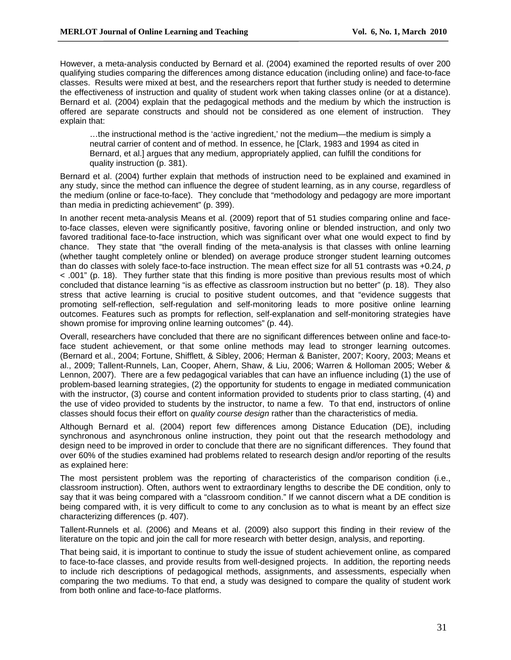However, a meta-analysis conducted by Bernard et al. (2004) examined the reported results of over 200 qualifying studies comparing the differences among distance education (including online) and face-to-face classes. Results were mixed at best, and the researchers report that further study is needed to determine the effectiveness of instruction and quality of student work when taking classes online (or at a distance). Bernard et al. (2004) explain that the pedagogical methods and the medium by which the instruction is offered are separate constructs and should not be considered as one element of instruction. They explain that:

…the instructional method is the 'active ingredient,' not the medium—the medium is simply a neutral carrier of content and of method. In essence, he [Clark, 1983 and 1994 as cited in Bernard, et al.] argues that any medium, appropriately applied, can fulfill the conditions for quality instruction (p. 381).

Bernard et al. (2004) further explain that methods of instruction need to be explained and examined in any study, since the method can influence the degree of student learning, as in any course, regardless of the medium (online or face-to-face). They conclude that "methodology and pedagogy are more important than media in predicting achievement" (p. 399).

In another recent meta-analysis Means et al. (2009) report that of 51 studies comparing online and faceto-face classes, eleven were significantly positive, favoring online or blended instruction, and only two favored traditional face-to-face instruction, which was significant over what one would expect to find by chance. They state that "the overall finding of the meta-analysis is that classes with online learning (whether taught completely online or blended) on average produce stronger student learning outcomes than do classes with solely face-to-face instruction. The mean effect size for all 51 contrasts was +0.24, *p*  < .001" (p. 18). They further state that this finding is more positive than previous results most of which concluded that distance learning "is as effective as classroom instruction but no better" (p. 18). They also stress that active learning is crucial to positive student outcomes, and that "evidence suggests that promoting self-reflection, self-regulation and self-monitoring leads to more positive online learning outcomes. Features such as prompts for reflection, self-explanation and self-monitoring strategies have shown promise for improving online learning outcomes" (p. 44).

Overall, researchers have concluded that there are no significant differences between online and face-toface student achievement, or that some online methods may lead to stronger learning outcomes. (Bernard et al., 2004; Fortune, Shifflett, & Sibley, 2006; Herman & Banister, 2007; Koory, 2003; Means et al., 2009; Tallent-Runnels, Lan, Cooper, Ahern, Shaw, & Liu, 2006; Warren & Holloman 2005; Weber & Lennon, 2007). There are a few pedagogical variables that can have an influence including (1) the use of problem-based learning strategies, (2) the opportunity for students to engage in mediated communication with the instructor, (3) course and content information provided to students prior to class starting, (4) and the use of video provided to students by the instructor, to name a few. To that end, instructors of online classes should focus their effort on *quality course design* rather than the characteristics of media.

Although Bernard et al. (2004) report few differences among Distance Education (DE), including synchronous and asynchronous online instruction, they point out that the research methodology and design need to be improved in order to conclude that there are no significant differences. They found that over 60% of the studies examined had problems related to research design and/or reporting of the results as explained here:

The most persistent problem was the reporting of characteristics of the comparison condition (i.e., classroom instruction). Often, authors went to extraordinary lengths to describe the DE condition, only to say that it was being compared with a "classroom condition." If we cannot discern what a DE condition is being compared with, it is very difficult to come to any conclusion as to what is meant by an effect size characterizing differences (p. 407).

Tallent-Runnels et al. (2006) and Means et al. (2009) also support this finding in their review of the literature on the topic and join the call for more research with better design, analysis, and reporting.

That being said, it is important to continue to study the issue of student achievement online, as compared to face-to-face classes, and provide results from well-designed projects. In addition, the reporting needs to include rich descriptions of pedagogical methods, assignments, and assessments, especially when comparing the two mediums. To that end, a study was designed to compare the quality of student work from both online and face-to-face platforms.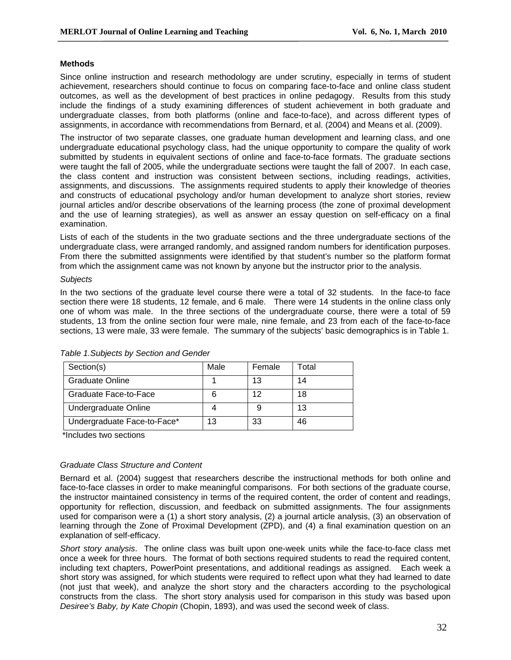## **Methods**

Since online instruction and research methodology are under scrutiny, especially in terms of student achievement, researchers should continue to focus on comparing face-to-face and online class student outcomes, as well as the development of best practices in online pedagogy. Results from this study include the findings of a study examining differences of student achievement in both graduate and undergraduate classes, from both platforms (online and face-to-face), and across different types of assignments, in accordance with recommendations from Bernard, et al. (2004) and Means et al. (2009).

The instructor of two separate classes, one graduate human development and learning class, and one undergraduate educational psychology class, had the unique opportunity to compare the quality of work submitted by students in equivalent sections of online and face-to-face formats. The graduate sections were taught the fall of 2005, while the undergraduate sections were taught the fall of 2007. In each case, the class content and instruction was consistent between sections, including readings, activities, assignments, and discussions. The assignments required students to apply their knowledge of theories and constructs of educational psychology and/or human development to analyze short stories, review journal articles and/or describe observations of the learning process (the zone of proximal development and the use of learning strategies), as well as answer an essay question on self-efficacy on a final examination.

Lists of each of the students in the two graduate sections and the three undergraduate sections of the undergraduate class, were arranged randomly, and assigned random numbers for identification purposes. From there the submitted assignments were identified by that student's number so the platform format from which the assignment came was not known by anyone but the instructor prior to the analysis.

### *Subjects*

In the two sections of the graduate level course there were a total of 32 students. In the face-to face section there were 18 students, 12 female, and 6 male. There were 14 students in the online class only one of whom was male. In the three sections of the undergraduate course, there were a total of 59 students, 13 from the online section four were male, nine female, and 23 from each of the face-to-face sections, 13 were male, 33 were female. The summary of the subjects' basic demographics is in Table 1.

| Section(s)                  | Male | Female | Total |
|-----------------------------|------|--------|-------|
| <b>Graduate Online</b>      |      | 13     | 14    |
| Graduate Face-to-Face       |      | 12     | 18    |
| Undergraduate Online        |      |        | 13    |
| Undergraduate Face-to-Face* | 13   | 33     | 46    |

*Table 1.Subjects by Section and Gender* 

\*Includes two sections

## *Graduate Class Structure and Content*

Bernard et al. (2004) suggest that researchers describe the instructional methods for both online and face-to-face classes in order to make meaningful comparisons. For both sections of the graduate course, the instructor maintained consistency in terms of the required content, the order of content and readings, opportunity for reflection, discussion, and feedback on submitted assignments. The four assignments used for comparison were a (1) a short story analysis, (2) a journal article analysis, (3) an observation of learning through the Zone of Proximal Development (ZPD), and (4) a final examination question on an explanation of self-efficacy.

*Short story analysis*. The online class was built upon one-week units while the face-to-face class met once a week for three hours. The format of both sections required students to read the required content, including text chapters, PowerPoint presentations, and additional readings as assigned. Each week a short story was assigned, for which students were required to reflect upon what they had learned to date (not just that week), and analyze the short story and the characters according to the psychological constructs from the class. The short story analysis used for comparison in this study was based upon *Desiree's Baby, by Kate Chopin* (Chopin, 1893), and was used the second week of class.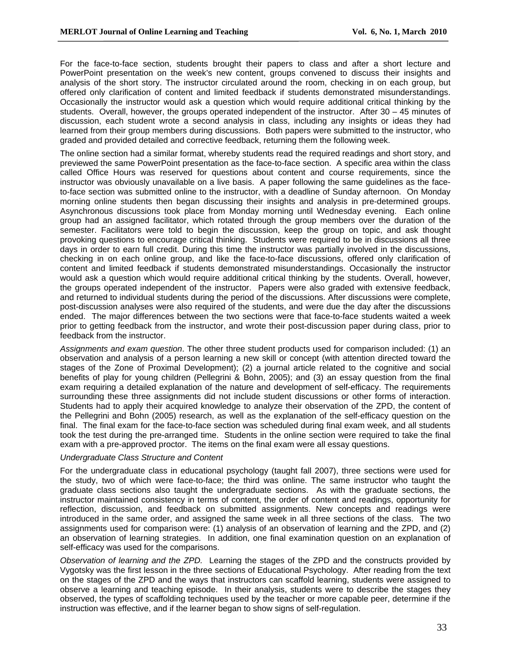For the face-to-face section, students brought their papers to class and after a short lecture and PowerPoint presentation on the week's new content, groups convened to discuss their insights and analysis of the short story. The instructor circulated around the room, checking in on each group, but offered only clarification of content and limited feedback if students demonstrated misunderstandings. Occasionally the instructor would ask a question which would require additional critical thinking by the students. Overall, however, the groups operated independent of the instructor. After  $30 - 45$  minutes of discussion, each student wrote a second analysis in class, including any insights or ideas they had learned from their group members during discussions. Both papers were submitted to the instructor, who graded and provided detailed and corrective feedback, returning them the following week.

The online section had a similar format, whereby students read the required readings and short story, and previewed the same PowerPoint presentation as the face-to-face section. A specific area within the class called Office Hours was reserved for questions about content and course requirements, since the instructor was obviously unavailable on a live basis. A paper following the same guidelines as the faceto-face section was submitted online to the instructor, with a deadline of Sunday afternoon. On Monday morning online students then began discussing their insights and analysis in pre-determined groups. Asynchronous discussions took place from Monday morning until Wednesday evening. Each online group had an assigned facilitator, which rotated through the group members over the duration of the semester. Facilitators were told to begin the discussion, keep the group on topic, and ask thought provoking questions to encourage critical thinking. Students were required to be in discussions all three days in order to earn full credit. During this time the instructor was partially involved in the discussions, checking in on each online group, and like the face-to-face discussions, offered only clarification of content and limited feedback if students demonstrated misunderstandings. Occasionally the instructor would ask a question which would require additional critical thinking by the students. Overall, however, the groups operated independent of the instructor. Papers were also graded with extensive feedback, and returned to individual students during the period of the discussions. After discussions were complete, post-discussion analyses were also required of the students, and were due the day after the discussions ended. The major differences between the two sections were that face-to-face students waited a week prior to getting feedback from the instructor, and wrote their post-discussion paper during class, prior to feedback from the instructor.

*Assignments and exam question*. The other three student products used for comparison included: (1) an observation and analysis of a person learning a new skill or concept (with attention directed toward the stages of the Zone of Proximal Development); (2) a journal article related to the cognitive and social benefits of play for young children (Pellegrini & Bohn, 2005); and (3) an essay question from the final exam requiring a detailed explanation of the nature and development of self-efficacy. The requirements surrounding these three assignments did not include student discussions or other forms of interaction. Students had to apply their acquired knowledge to analyze their observation of the ZPD, the content of the Pellegrini and Bohn (2005) research, as well as the explanation of the self-efficacy question on the final. The final exam for the face-to-face section was scheduled during final exam week, and all students took the test during the pre-arranged time. Students in the online section were required to take the final exam with a pre-approved proctor. The items on the final exam were all essay questions.

## *Undergraduate Class Structure and Content*

For the undergraduate class in educational psychology (taught fall 2007), three sections were used for the study, two of which were face-to-face; the third was online. The same instructor who taught the graduate class sections also taught the undergraduate sections. As with the graduate sections, the instructor maintained consistency in terms of content, the order of content and readings, opportunity for reflection, discussion, and feedback on submitted assignments. New concepts and readings were introduced in the same order, and assigned the same week in all three sections of the class. The two assignments used for comparison were: (1) analysis of an observation of learning and the ZPD, and (2) an observation of learning strategies. In addition, one final examination question on an explanation of self-efficacy was used for the comparisons.

*Observation of learning and the ZPD.* Learning the stages of the ZPD and the constructs provided by Vygotsky was the first lesson in the three sections of Educational Psychology. After reading from the text on the stages of the ZPD and the ways that instructors can scaffold learning, students were assigned to observe a learning and teaching episode. In their analysis, students were to describe the stages they observed, the types of scaffolding techniques used by the teacher or more capable peer, determine if the instruction was effective, and if the learner began to show signs of self-regulation.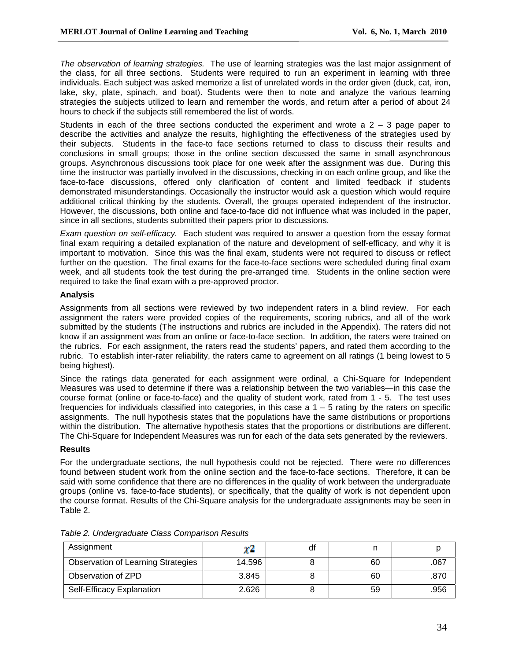*The observation of learning strategies.* The use of learning strategies was the last major assignment of the class, for all three sections. Students were required to run an experiment in learning with three individuals. Each subject was asked memorize a list of unrelated words in the order given (duck, cat, iron, lake, sky, plate, spinach, and boat). Students were then to note and analyze the various learning strategies the subjects utilized to learn and remember the words, and return after a period of about 24 hours to check if the subjects still remembered the list of words.

Students in each of the three sections conducted the experiment and wrote a  $2 - 3$  page paper to describe the activities and analyze the results, highlighting the effectiveness of the strategies used by their subjects. Students in the face-to face sections returned to class to discuss their results and conclusions in small groups; those in the online section discussed the same in small asynchronous groups. Asynchronous discussions took place for one week after the assignment was due. During this time the instructor was partially involved in the discussions, checking in on each online group, and like the face-to-face discussions, offered only clarification of content and limited feedback if students demonstrated misunderstandings. Occasionally the instructor would ask a question which would require additional critical thinking by the students. Overall, the groups operated independent of the instructor. However, the discussions, both online and face-to-face did not influence what was included in the paper, since in all sections, students submitted their papers prior to discussions.

*Exam question on self-efficacy.* Each student was required to answer a question from the essay format final exam requiring a detailed explanation of the nature and development of self-efficacy, and why it is important to motivation. Since this was the final exam, students were not required to discuss or reflect further on the question. The final exams for the face-to-face sections were scheduled during final exam week, and all students took the test during the pre-arranged time. Students in the online section were required to take the final exam with a pre-approved proctor.

## **Analysis**

Assignments from all sections were reviewed by two independent raters in a blind review. For each assignment the raters were provided copies of the requirements, scoring rubrics, and all of the work submitted by the students (The instructions and rubrics are included in the Appendix). The raters did not know if an assignment was from an online or face-to-face section. In addition, the raters were trained on the rubrics. For each assignment, the raters read the students' papers, and rated them according to the rubric. To establish inter-rater reliability, the raters came to agreement on all ratings (1 being lowest to 5 being highest).

Since the ratings data generated for each assignment were ordinal, a Chi-Square for Independent Measures was used to determine if there was a relationship between the two variables—in this case the course format (online or face-to-face) and the quality of student work, rated from 1 - 5. The test uses frequencies for individuals classified into categories, in this case  $a_1 - b_2$  rating by the raters on specific assignments. The null hypothesis states that the populations have the same distributions or proportions within the distribution. The alternative hypothesis states that the proportions or distributions are different. The Chi-Square for Independent Measures was run for each of the data sets generated by the reviewers.

## **Results**

For the undergraduate sections, the null hypothesis could not be rejected. There were no differences found between student work from the online section and the face-to-face sections. Therefore, it can be said with some confidence that there are no differences in the quality of work between the undergraduate groups (online vs. face-to-face students), or specifically, that the quality of work is not dependent upon the course format. Results of the Chi-Square analysis for the undergraduate assignments may be seen in Table 2.

| Assignment                                | XZ.    | df |    |      |
|-------------------------------------------|--------|----|----|------|
| <b>Observation of Learning Strategies</b> | 14.596 |    | 60 | .067 |
| Observation of ZPD                        | 3.845  |    | 60 | .870 |
| Self-Efficacy Explanation                 | 2.626  |    | 59 | .956 |

*Table 2. Undergraduate Class Comparison Results*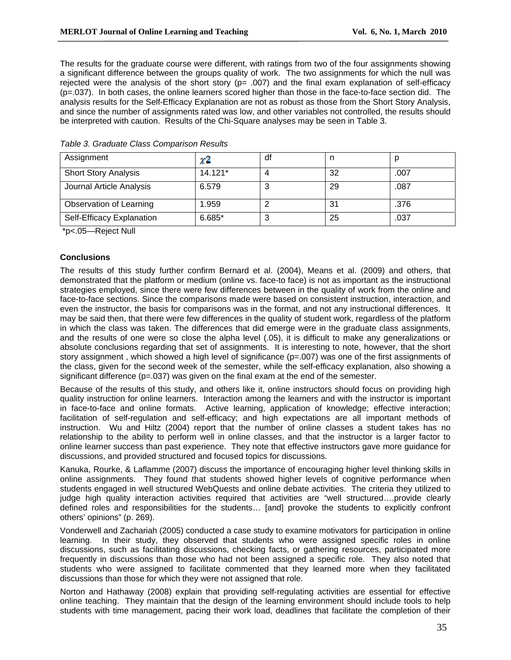The results for the graduate course were different, with ratings from two of the four assignments showing a significant difference between the groups quality of work. The two assignments for which the null was rejected were the analysis of the short story ( $p=$  .007) and the final exam explanation of self-efficacy (p=.037). In both cases, the online learners scored higher than those in the face-to-face section did. The analysis results for the Self-Efficacy Explanation are not as robust as those from the Short Story Analysis, and since the number of assignments rated was low, and other variables not controlled, the results should be interpreted with caution. Results of the Chi-Square analyses may be seen in Table 3.

| Assignment                  | ΥZ        | df     | n  |      |
|-----------------------------|-----------|--------|----|------|
| <b>Short Story Analysis</b> | $14.121*$ |        | 32 | .007 |
| Journal Article Analysis    | 6.579     |        | 29 | .087 |
| Observation of Learning     | 1.959     |        | 31 | .376 |
| Self-Efficacy Explanation   | $6.685*$  | ົ<br>J | 25 | .037 |

|  |  | Table 3. Graduate Class Comparison Results |  |  |  |  |
|--|--|--------------------------------------------|--|--|--|--|
|--|--|--------------------------------------------|--|--|--|--|

\*p<.05—Reject Null

## **Conclusions**

The results of this study further confirm Bernard et al. (2004), Means et al. (2009) and others, that demonstrated that the platform or medium (online vs. face-to face) is not as important as the instructional strategies employed, since there were few differences between in the quality of work from the online and face-to-face sections. Since the comparisons made were based on consistent instruction, interaction, and even the instructor, the basis for comparisons was in the format, and not any instructional differences. It may be said then, that there were few differences in the quality of student work, regardless of the platform in which the class was taken. The differences that did emerge were in the graduate class assignments, and the results of one were so close the alpha level (.05), it is difficult to make any generalizations or absolute conclusions regarding that set of assignments. It is interesting to note, however, that the short story assignment, which showed a high level of significance (p=.007) was one of the first assignments of the class, given for the second week of the semester, while the self-efficacy explanation, also showing a significant difference  $(p=.037)$  was given on the final exam at the end of the semester.

Because of the results of this study, and others like it, online instructors should focus on providing high quality instruction for online learners. Interaction among the learners and with the instructor is important in face-to-face and online formats. Active learning, application of knowledge; effective interaction; facilitation of self-regulation and self-efficacy; and high expectations are all important methods of instruction. Wu and Hiltz (2004) report that the number of online classes a student takes has no relationship to the ability to perform well in online classes, and that the instructor is a larger factor to online learner success than past experience. They note that effective instructors gave more guidance for discussions, and provided structured and focused topics for discussions.

Kanuka, Rourke, & Laflamme (2007) discuss the importance of encouraging higher level thinking skills in online assignments. They found that students showed higher levels of cognitive performance when students engaged in well structured WebQuests and online debate activities. The criteria they utilized to judge high quality interaction activities required that activities are "well structured….provide clearly defined roles and responsibilities for the students… [and] provoke the students to explicitly confront others' opinions" (p. 269).

Vonderwell and Zachariah (2005) conducted a case study to examine motivators for participation in online learning. In their study, they observed that students who were assigned specific roles in online discussions, such as facilitating discussions, checking facts, or gathering resources, participated more frequently in discussions than those who had not been assigned a specific role. They also noted that students who were assigned to facilitate commented that they learned more when they facilitated discussions than those for which they were not assigned that role.

Norton and Hathaway (2008) explain that providing self-regulating activities are essential for effective online teaching. They maintain that the design of the learning environment should include tools to help students with time management, pacing their work load, deadlines that facilitate the completion of their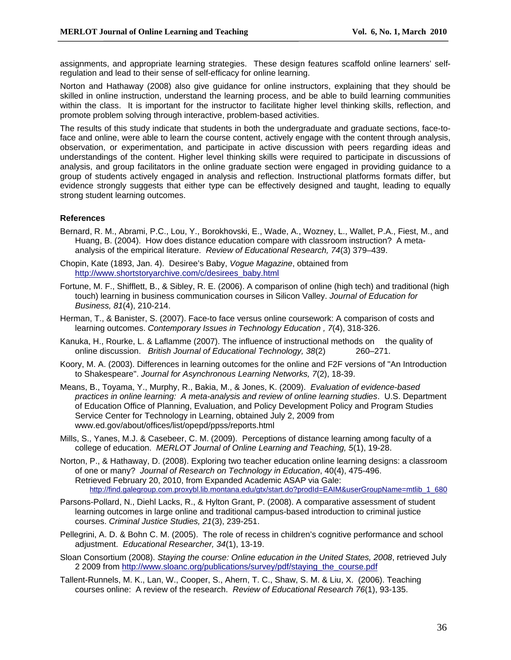assignments, and appropriate learning strategies. These design features scaffold online learners' selfregulation and lead to their sense of self-efficacy for online learning.

Norton and Hathaway (2008) also give guidance for online instructors, explaining that they should be skilled in online instruction, understand the learning process, and be able to build learning communities within the class. It is important for the instructor to facilitate higher level thinking skills, reflection, and promote problem solving through interactive, problem-based activities.

The results of this study indicate that students in both the undergraduate and graduate sections, face-toface and online, were able to learn the course content, actively engage with the content through analysis, observation, or experimentation, and participate in active discussion with peers regarding ideas and understandings of the content. Higher level thinking skills were required to participate in discussions of analysis, and group facilitators in the online graduate section were engaged in providing guidance to a group of students actively engaged in analysis and reflection. Instructional platforms formats differ, but evidence strongly suggests that either type can be effectively designed and taught, leading to equally strong student learning outcomes.

## **References**

- Bernard, R. M., Abrami, P.C., Lou, Y., Borokhovski, E., Wade, A., Wozney, L., Wallet, P.A., Fiest, M., and Huang, B. (2004). How does distance education compare with classroom instruction? A metaanalysis of the empirical literature. *Review of Educational Research, 74*(3) 379–439.
- Chopin, Kate (1893, Jan. 4). Desiree's Baby, *Vogue Magazine*, obtained from http://www.shortstoryarchive.com/c/desirees\_baby.html
- Fortune, M. F., Shifflett, B., & Sibley, R. E. (2006). A comparison of online (high tech) and traditional (high touch) learning in business communication courses in Silicon Valley. *Journal of Education for Business, 81*(4), 210-214.
- Herman, T., & Banister, S. (2007). Face-to face versus online coursework: A comparison of costs and learning outcomes. *Contemporary Issues in Technology Education , 7*(4), 318-326.
- Kanuka, H., Rourke, L. & Laflamme (2007). The influence of instructional methods on the quality of online discussion. *British Journal of Educational Technology, 38*(2) 260–271.
- Koory, M. A. (2003). Differences in learning outcomes for the online and F2F versions of "An Introduction to Shakespeare". *Journal for Asynchronous Learning Networks, 7*(2), 18-39.
- Means, B., Toyama, Y., Murphy, R., Bakia, M., & Jones, K. (2009). *Evaluation of evidence-based practices in online learning: A meta-analysis and review of online learning studies*. U.S. Department of Education Office of Planning, Evaluation, and Policy Development Policy and Program Studies Service Center for Technology in Learning, obtained July 2, 2009 from www.ed.gov/about/offices/list/opepd/ppss/reports.html
- Mills, S., Yanes, M.J. & Casebeer, C. M. (2009). Perceptions of distance learning among faculty of a college of education. *MERLOT Journal of Online Learning and Teaching, 5*(1), 19-28.
- Norton, P., & Hathaway, D. (2008). Exploring two teacher education online learning designs: a classroom of one or many? *Journal of Research on Technology in Education*, 40(4), 475-496. Retrieved February 20, 2010, from Expanded Academic ASAP via Gale: http://find.galegroup.com.proxybl.lib.montana.edu/gtx/start.do?prodId=EAIM&userGroupName=mtlib\_1\_680
- Parsons-Pollard, N., Diehl Lacks, R., & Hylton Grant, P. (2008). A comparative assessment of student learning outcomes in large online and traditional campus-based introduction to criminal justice courses. *Criminal Justice Studies, 21*(3), 239-251.
- Pellegrini, A. D. & Bohn C. M. (2005). The role of recess in children's cognitive performance and school adjustment. *Educational Researcher, 34*(1), 13-19.
- Sloan Consortium (2008). *Staying the course: Online education in the United States, 2008*, retrieved July 2 2009 from http://www.sloanc.org/publications/survey/pdf/staying\_the\_course.pdf
- Tallent-Runnels, M. K., Lan, W., Cooper, S., Ahern, T. C., Shaw, S. M. & Liu, X. (2006). Teaching courses online: A review of the research. *Review of Educational Research 76*(1), 93-135.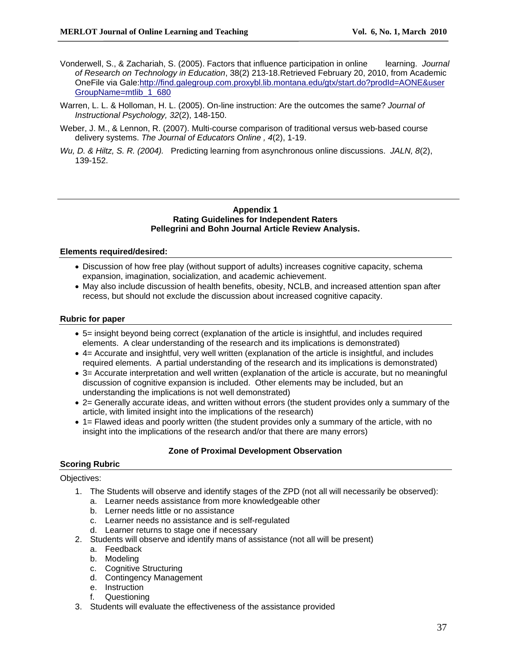- Vonderwell, S., & Zachariah, S. (2005). Factors that influence participation in online learning. *Journal of Research on Technology in Education*, 38(2) 213-18.Retrieved February 20, 2010, from Academic OneFile via Gale:http://find.galegroup.com.proxybl.lib.montana.edu/gtx/start.do?prodId=AONE&user GroupName=mtlib\_1\_680
- Warren, L. L. & Holloman, H. L. (2005). On-line instruction: Are the outcomes the same? *Journal of Instructional Psychology, 32*(2), 148-150.
- Weber, J. M., & Lennon, R. (2007). Multi-course comparison of traditional versus web-based course delivery systems. *The Journal of Educators Online , 4*(2), 1-19.
- *Wu, D. & Hiltz, S. R. (2004).* Predicting learning from asynchronous online discussions. *JALN, 8*(2), 139-152.

### **Appendix 1 Rating Guidelines for Independent Raters Pellegrini and Bohn Journal Article Review Analysis.**

## **Elements required/desired:**

- Discussion of how free play (without support of adults) increases cognitive capacity, schema expansion, imagination, socialization, and academic achievement.
- May also include discussion of health benefits, obesity, NCLB, and increased attention span after recess, but should not exclude the discussion about increased cognitive capacity.

### **Rubric for paper**

- 5= insight beyond being correct (explanation of the article is insightful, and includes required elements. A clear understanding of the research and its implications is demonstrated)
- 4= Accurate and insightful, very well written (explanation of the article is insightful, and includes required elements. A partial understanding of the research and its implications is demonstrated)
- 3= Accurate interpretation and well written (explanation of the article is accurate, but no meaningful discussion of cognitive expansion is included. Other elements may be included, but an understanding the implications is not well demonstrated)
- 2= Generally accurate ideas, and written without errors (the student provides only a summary of the article, with limited insight into the implications of the research)
- 1= Flawed ideas and poorly written (the student provides only a summary of the article, with no insight into the implications of the research and/or that there are many errors)

## **Zone of Proximal Development Observation**

## **Scoring Rubric**

#### Objectives:

- 1. The Students will observe and identify stages of the ZPD (not all will necessarily be observed):
	- a. Learner needs assistance from more knowledgeable other
	- b. Lerner needs little or no assistance
	- c. Learner needs no assistance and is self-regulated
	- d. Learner returns to stage one if necessary
- 2. Students will observe and identify mans of assistance (not all will be present)
	- a. Feedback
	- b. Modeling
	- c. Cognitive Structuring
	- d. Contingency Management
	- e. Instruction
	- f. Questioning
- 3. Students will evaluate the effectiveness of the assistance provided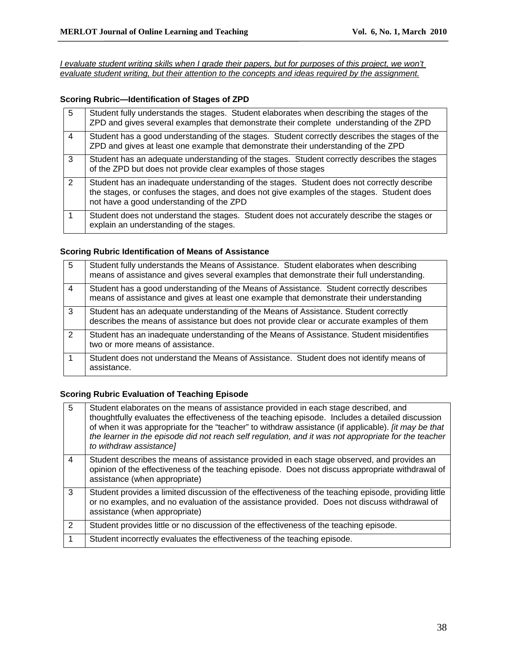*I evaluate student writing skills when I grade their papers, but for purposes of this project, we won't evaluate student writing, but their attention to the concepts and ideas required by the assignment.*

## **Scoring Rubric—Identification of Stages of ZPD**

| 5              | Student fully understands the stages. Student elaborates when describing the stages of the<br>ZPD and gives several examples that demonstrate their complete understanding of the ZPD                                                |
|----------------|--------------------------------------------------------------------------------------------------------------------------------------------------------------------------------------------------------------------------------------|
| $\overline{4}$ | Student has a good understanding of the stages. Student correctly describes the stages of the<br>ZPD and gives at least one example that demonstrate their understanding of the ZPD                                                  |
| 3              | Student has an adequate understanding of the stages. Student correctly describes the stages<br>of the ZPD but does not provide clear examples of those stages                                                                        |
| 2              | Student has an inadequate understanding of the stages. Student does not correctly describe<br>the stages, or confuses the stages, and does not give examples of the stages. Student does<br>not have a good understanding of the ZPD |
|                | Student does not understand the stages. Student does not accurately describe the stages or<br>explain an understanding of the stages.                                                                                                |

## **Scoring Rubric Identification of Means of Assistance**

| -5 | Student fully understands the Means of Assistance. Student elaborates when describing<br>means of assistance and gives several examples that demonstrate their full understanding.  |
|----|-------------------------------------------------------------------------------------------------------------------------------------------------------------------------------------|
| 4  | Student has a good understanding of the Means of Assistance. Student correctly describes<br>means of assistance and gives at least one example that demonstrate their understanding |
| 3  | Student has an adequate understanding of the Means of Assistance. Student correctly<br>describes the means of assistance but does not provide clear or accurate examples of them    |
| 2  | Student has an inadequate understanding of the Means of Assistance. Student misidentifies<br>two or more means of assistance.                                                       |
|    | Student does not understand the Means of Assistance. Student does not identify means of<br>assistance.                                                                              |

## **Scoring Rubric Evaluation of Teaching Episode**

| $5\overline{5}$ | Student elaborates on the means of assistance provided in each stage described, and<br>thoughtfully evaluates the effectiveness of the teaching episode. Includes a detailed discussion<br>of when it was appropriate for the "teacher" to withdraw assistance (if applicable). <i>[it may be that</i><br>the learner in the episode did not reach self regulation, and it was not appropriate for the teacher<br>to withdraw assistance] |
|-----------------|-------------------------------------------------------------------------------------------------------------------------------------------------------------------------------------------------------------------------------------------------------------------------------------------------------------------------------------------------------------------------------------------------------------------------------------------|
| $\overline{4}$  | Student describes the means of assistance provided in each stage observed, and provides an<br>opinion of the effectiveness of the teaching episode. Does not discuss appropriate withdrawal of<br>assistance (when appropriate)                                                                                                                                                                                                           |
| 3               | Student provides a limited discussion of the effectiveness of the teaching episode, providing little<br>or no examples, and no evaluation of the assistance provided. Does not discuss withdrawal of<br>assistance (when appropriate)                                                                                                                                                                                                     |
| 2               | Student provides little or no discussion of the effectiveness of the teaching episode.                                                                                                                                                                                                                                                                                                                                                    |
|                 | Student incorrectly evaluates the effectiveness of the teaching episode.                                                                                                                                                                                                                                                                                                                                                                  |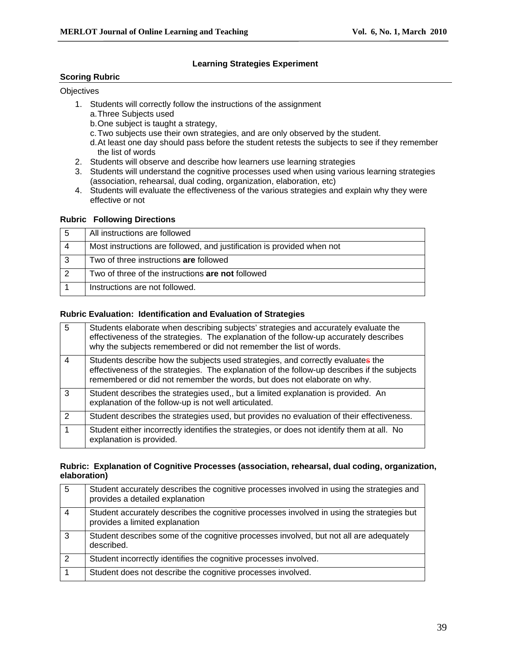## **Learning Strategies Experiment**

## **Scoring Rubric**

## **Objectives**

- 1. Students will correctly follow the instructions of the assignment
	- a. Three Subjects used
	- b. One subject is taught a strategy,
	- c. Two subjects use their own strategies, and are only observed by the student.
	- d. At least one day should pass before the student retests the subjects to see if they remember the list of words
- 2. Students will observe and describe how learners use learning strategies
- 3. Students will understand the cognitive processes used when using various learning strategies (association, rehearsal, dual coding, organization, elaboration, etc)
- 4. Students will evaluate the effectiveness of the various strategies and explain why they were effective or not

## **Rubric Following Directions**

| 5 | All instructions are followed                                          |
|---|------------------------------------------------------------------------|
|   | Most instructions are followed, and justification is provided when not |
|   | Two of three instructions are followed                                 |
| 2 | Two of three of the instructions are not followed                      |
|   | Instructions are not followed.                                         |

## **Rubric Evaluation: Identification and Evaluation of Strategies**

| 5             | Students elaborate when describing subjects' strategies and accurately evaluate the<br>effectiveness of the strategies. The explanation of the follow-up accurately describes<br>why the subjects remembered or did not remember the list of words.        |
|---------------|------------------------------------------------------------------------------------------------------------------------------------------------------------------------------------------------------------------------------------------------------------|
| 4             | Students describe how the subjects used strategies, and correctly evaluates the<br>effectiveness of the strategies. The explanation of the follow-up describes if the subjects<br>remembered or did not remember the words, but does not elaborate on why. |
| 3             | Student describes the strategies used,, but a limited explanation is provided. An<br>explanation of the follow-up is not well articulated.                                                                                                                 |
| $\mathcal{P}$ | Student describes the strategies used, but provides no evaluation of their effectiveness.                                                                                                                                                                  |
| 1             | Student either incorrectly identifies the strategies, or does not identify them at all. No<br>explanation is provided.                                                                                                                                     |

## **Rubric: Explanation of Cognitive Processes (association, rehearsal, dual coding, organization, elaboration)**

| 5              | Student accurately describes the cognitive processes involved in using the strategies and<br>provides a detailed explanation |
|----------------|------------------------------------------------------------------------------------------------------------------------------|
| $\overline{4}$ | Student accurately describes the cognitive processes involved in using the strategies but<br>provides a limited explanation  |
| 3              | Student describes some of the cognitive processes involved, but not all are adequately<br>described.                         |
| 2              | Student incorrectly identifies the cognitive processes involved.                                                             |
|                | Student does not describe the cognitive processes involved.                                                                  |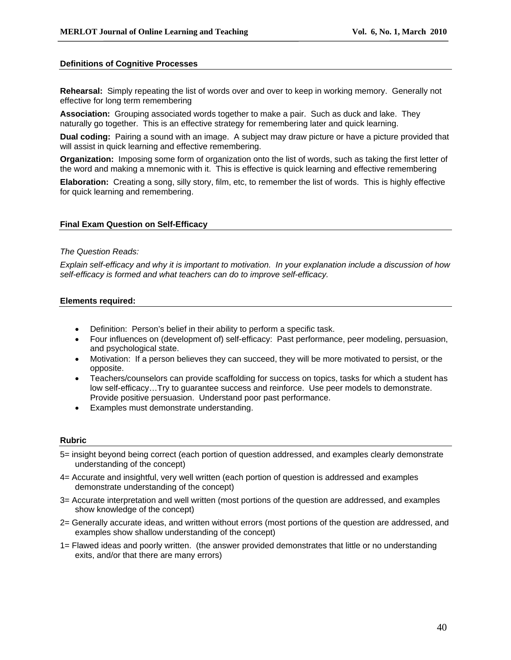### **Definitions of Cognitive Processes**

**Rehearsal:** Simply repeating the list of words over and over to keep in working memory. Generally not effective for long term remembering

**Association:** Grouping associated words together to make a pair. Such as duck and lake. They naturally go together. This is an effective strategy for remembering later and quick learning.

**Dual coding:** Pairing a sound with an image. A subject may draw picture or have a picture provided that will assist in quick learning and effective remembering.

**Organization:** Imposing some form of organization onto the list of words, such as taking the first letter of the word and making a mnemonic with it. This is effective is quick learning and effective remembering

**Elaboration:** Creating a song, silly story, film, etc, to remember the list of words. This is highly effective for quick learning and remembering.

#### **Final Exam Question on Self-Efficacy**

### *The Question Reads:*

*Explain self-efficacy and why it is important to motivation. In your explanation include a discussion of how self-efficacy is formed and what teachers can do to improve self-efficacy.* 

### **Elements required:**

- Definition: Person's belief in their ability to perform a specific task.
- Four influences on (development of) self-efficacy: Past performance, peer modeling, persuasion, and psychological state.
- Motivation: If a person believes they can succeed, they will be more motivated to persist, or the opposite.
- Teachers/counselors can provide scaffolding for success on topics, tasks for which a student has low self-efficacy…Try to guarantee success and reinforce. Use peer models to demonstrate. Provide positive persuasion. Understand poor past performance.
- Examples must demonstrate understanding.

#### **Rubric**

- 5= insight beyond being correct (each portion of question addressed, and examples clearly demonstrate understanding of the concept)
- 4= Accurate and insightful, very well written (each portion of question is addressed and examples demonstrate understanding of the concept)
- 3= Accurate interpretation and well written (most portions of the question are addressed, and examples show knowledge of the concept)
- 2= Generally accurate ideas, and written without errors (most portions of the question are addressed, and examples show shallow understanding of the concept)
- 1= Flawed ideas and poorly written. (the answer provided demonstrates that little or no understanding exits, and/or that there are many errors)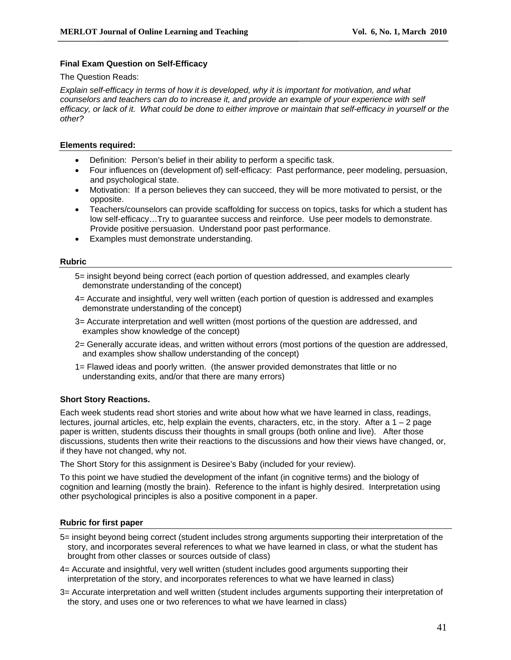## **Final Exam Question on Self-Efficacy**

### The Question Reads:

*Explain self-efficacy in terms of how it is developed, why it is important for motivation, and what counselors and teachers can do to increase it, and provide an example of your experience with self efficacy, or lack of it. What could be done to either improve or maintain that self-efficacy in yourself or the other?* 

## **Elements required:**

- Definition: Person's belief in their ability to perform a specific task.
- Four influences on (development of) self-efficacy: Past performance, peer modeling, persuasion, and psychological state.
- Motivation: If a person believes they can succeed, they will be more motivated to persist, or the opposite.
- Teachers/counselors can provide scaffolding for success on topics, tasks for which a student has low self-efficacy…Try to guarantee success and reinforce. Use peer models to demonstrate. Provide positive persuasion. Understand poor past performance.
- Examples must demonstrate understanding.

## **Rubric**

- 5= insight beyond being correct (each portion of question addressed, and examples clearly demonstrate understanding of the concept)
- 4= Accurate and insightful, very well written (each portion of question is addressed and examples demonstrate understanding of the concept)
- 3= Accurate interpretation and well written (most portions of the question are addressed, and examples show knowledge of the concept)
- 2= Generally accurate ideas, and written without errors (most portions of the question are addressed, and examples show shallow understanding of the concept)
- 1= Flawed ideas and poorly written. (the answer provided demonstrates that little or no understanding exits, and/or that there are many errors)

## **Short Story Reactions.**

Each week students read short stories and write about how what we have learned in class, readings, lectures, journal articles, etc, help explain the events, characters, etc, in the story. After a  $1 - 2$  page paper is written, students discuss their thoughts in small groups (both online and live). After those discussions, students then write their reactions to the discussions and how their views have changed, or, if they have not changed, why not.

The Short Story for this assignment is Desiree's Baby (included for your review).

To this point we have studied the development of the infant (in cognitive terms) and the biology of cognition and learning (mostly the brain). Reference to the infant is highly desired. Interpretation using other psychological principles is also a positive component in a paper.

## **Rubric for first paper**

- 5= insight beyond being correct (student includes strong arguments supporting their interpretation of the story, and incorporates several references to what we have learned in class, or what the student has brought from other classes or sources outside of class)
- 4= Accurate and insightful, very well written (student includes good arguments supporting their interpretation of the story, and incorporates references to what we have learned in class)
- 3= Accurate interpretation and well written (student includes arguments supporting their interpretation of the story, and uses one or two references to what we have learned in class)